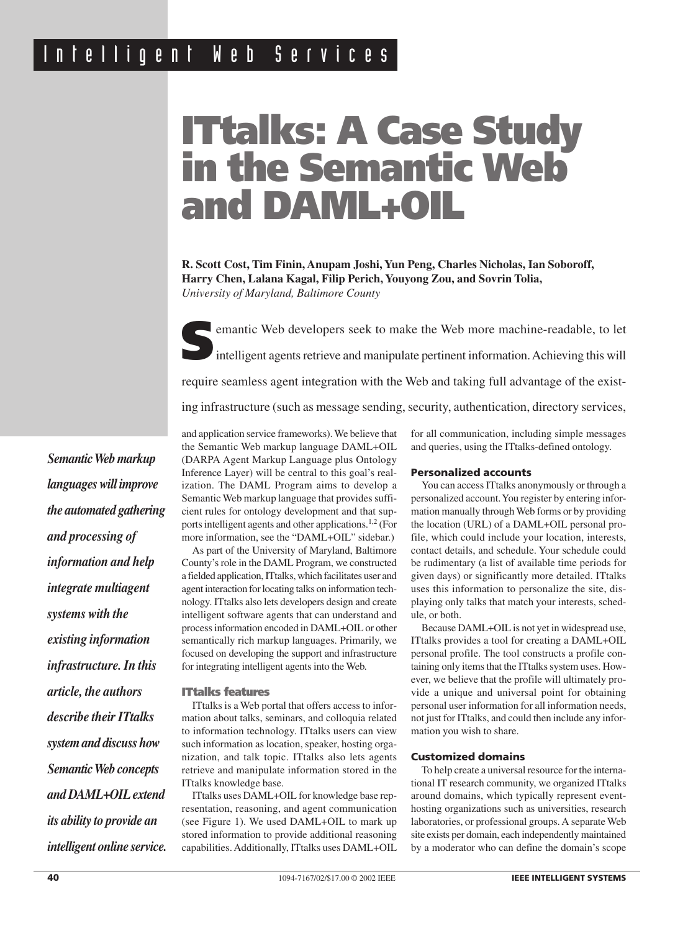# **ITtalks: A Case Study in the Semantic Web and DAML+OIL**

**R. Scott Cost, Tim Finin, Anupam Joshi, Yun Peng, Charles Nicholas, Ian Soboroff, Harry Chen, Lalana Kagal, Filip Perich, Youyong Zou, and Sovrin Tolia,** *University of Maryland, Baltimore County*



**S**emantic Web developers seek to make the Web more machine-readable, to let intelligent agents retrieve and manipulate pertinent information. Achieving this will require seamless agent integration with the Web and taking full advantage of the existing infrastructure (such as message sending, security, authentication, directory services,

*Semantic Web markup languages will improve the automated gathering and processing of information and help integrate multiagent systems with the existing information infrastructure. In this article, the authors describe their ITtalks system and discuss how Semantic Web concepts and DAML+OIL extend its ability to provide an intelligent online service.* and application service frameworks). We believe that the Semantic Web markup language DAML+OIL (DARPA Agent Markup Language plus Ontology Inference Layer) will be central to this goal's realization. The DAML Program aims to develop a Semantic Web markup language that provides sufficient rules for ontology development and that supports intelligent agents and other applications.1,2 (For more information, see the "DAML+OIL" sidebar.)

As part of the University of Maryland, Baltimore County's role in the DAML Program, we constructed a fielded application, ITtalks, which facilitates user and agent interaction for locating talks on information technology. ITtalks also lets developers design and create intelligent software agents that can understand and process information encoded in DAML+OIL or other semantically rich markup languages. Primarily, we focused on developing the support and infrastructure for integrating intelligent agents into the Web.

# **ITtalks features**

ITtalks is a Web portal that offers access to information about talks, seminars, and colloquia related to information technology. ITtalks users can view such information as location, speaker, hosting organization, and talk topic. ITtalks also lets agents retrieve and manipulate information stored in the ITtalks knowledge base.

ITtalks uses DAML+OIL for knowledge base representation, reasoning, and agent communication (see Figure 1). We used DAML+OIL to mark up stored information to provide additional reasoning capabilities. Additionally, ITtalks uses DAML+OIL for all communication, including simple messages and queries, using the ITtalks-defined ontology.

# **Personalized accounts**

You can access ITtalks anonymously or through a personalized account. You register by entering information manually through Web forms or by providing the location (URL) of a DAML+OIL personal profile, which could include your location, interests, contact details, and schedule. Your schedule could be rudimentary (a list of available time periods for given days) or significantly more detailed. ITtalks uses this information to personalize the site, displaying only talks that match your interests, schedule, or both.

Because DAML+OIL is not yet in widespread use, ITtalks provides a tool for creating a DAML+OIL personal profile. The tool constructs a profile containing only items that the ITtalks system uses. However, we believe that the profile will ultimately provide a unique and universal point for obtaining personal user information for all information needs, not just for ITtalks, and could then include any information you wish to share.

# **Customized domains**

To help create a universal resource for the international IT research community, we organized ITtalks around domains, which typically represent eventhosting organizations such as universities, research laboratories, or professional groups. A separate Web site exists per domain, each independently maintained by a moderator who can define the domain's scope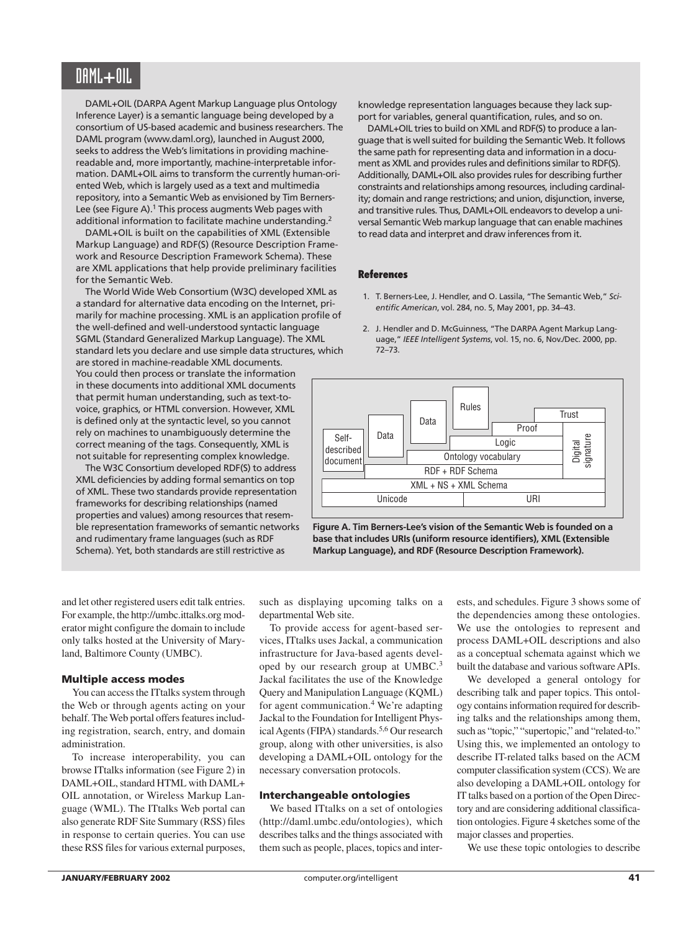# DAML**+**OIL

DAML+OIL (DARPA Agent Markup Language plus Ontology Inference Layer) is a semantic language being developed by a consortium of US-based academic and business researchers. The DAML program (www.daml.org), launched in August 2000, seeks to address the Web's limitations in providing machinereadable and, more importantly, machine-interpretable information. DAML+OIL aims to transform the currently human-oriented Web, which is largely used as a text and multimedia repository, into a Semantic Web as envisioned by Tim Berners-Lee (see Figure A).<sup>1</sup> This process augments Web pages with additional information to facilitate machine understanding.<sup>2</sup>

DAML+OIL is built on the capabilities of XML (Extensible Markup Language) and RDF(S) (Resource Description Framework and Resource Description Framework Schema). These are XML applications that help provide preliminary facilities for the Semantic Web.

The World Wide Web Consortium (W3C) developed XML as a standard for alternative data encoding on the Internet, primarily for machine processing. XML is an application profile of the well-defined and well-understood syntactic language SGML (Standard Generalized Markup Language). The XML standard lets you declare and use simple data structures, which

are stored in machine-readable XML documents. You could then process or translate the information in these documents into additional XML documents that permit human understanding, such as text-tovoice, graphics, or HTML conversion. However, XML is defined only at the syntactic level, so you cannot rely on machines to unambiguously determine the correct meaning of the tags. Consequently, XML is not suitable for representing complex knowledge.

The W3C Consortium developed RDF(S) to address XML deficiencies by adding formal semantics on top of XML. These two standards provide representation frameworks for describing relationships (named properties and values) among resources that resemble representation frameworks of semantic networks and rudimentary frame languages (such as RDF Schema). Yet, both standards are still restrictive as

knowledge representation languages because they lack support for variables, general quantification, rules, and so on.

DAML+OIL tries to build on XML and RDF(S) to produce a language that is well suited for building the Semantic Web. It follows the same path for representing data and information in a document as XML and provides rules and definitions similar to RDF(S). Additionally, DAML+OIL also provides rules for describing further constraints and relationships among resources, including cardinality; domain and range restrictions; and union, disjunction, inverse, and transitive rules. Thus, DAML+OIL endeavors to develop a universal Semantic Web markup language that can enable machines to read data and interpret and draw inferences from it.

#### **References**

- 1. T. Berners-Lee, J. Hendler, and O. Lassila, "The Semantic Web," *Scientific American*, vol. 284, no. 5, May 2001, pp. 34–43.
- 2. J. Hendler and D. McGuinness, "The DARPA Agent Markup Language," *IEEE Intelligent Systems*, vol. 15, no. 6, Nov./Dec. 2000, pp. 72–73.



**Figure A. Tim Berners-Lee's vision of the Semantic Web is founded on a base that includes URIs (uniform resource identifiers), XML (Extensible Markup Language), and RDF (Resource Description Framework).**

and let other registered users edit talk entries. For example, the http://umbc.ittalks.org moderator might configure the domain to include only talks hosted at the University of Maryland, Baltimore County (UMBC).

# **Multiple access modes**

You can access the ITtalks system through the Web or through agents acting on your behalf. The Web portal offers features including registration, search, entry, and domain administration.

To increase interoperability, you can browse ITtalks information (see Figure 2) in DAML+OIL, standard HTML with DAML+ OIL annotation, or Wireless Markup Language (WML). The ITtalks Web portal can also generate RDF Site Summary (RSS) files in response to certain queries. You can use these RSS files for various external purposes,

such as displaying upcoming talks on a departmental Web site.

To provide access for agent-based services, ITtalks uses Jackal, a communication infrastructure for Java-based agents developed by our research group at UMBC.<sup>3</sup> Jackal facilitates the use of the Knowledge Query and Manipulation Language (KQML) for agent communication.<sup>4</sup> We're adapting Jackal to the Foundation for Intelligent Physical Agents (FIPA) standards.<sup>5,6</sup> Our research group, along with other universities, is also developing a DAML+OIL ontology for the necessary conversation protocols.

# **Interchangeable ontologies**

We based ITtalks on a set of ontologies (http://daml.umbc.edu/ontologies), which describes talks and the things associated with them such as people, places, topics and interests, and schedules. Figure 3 shows some of the dependencies among these ontologies. We use the ontologies to represent and process DAML+OIL descriptions and also as a conceptual schemata against which we built the database and various software APIs.

We developed a general ontology for describing talk and paper topics. This ontology contains information required for describing talks and the relationships among them, such as "topic," "supertopic," and "related-to." Using this, we implemented an ontology to describe IT-related talks based on the ACM computer classification system (CCS). We are also developing a DAML+OIL ontology for IT talks based on a portion of the Open Directory and are considering additional classification ontologies. Figure 4 sketches some of the major classes and properties.

We use these topic ontologies to describe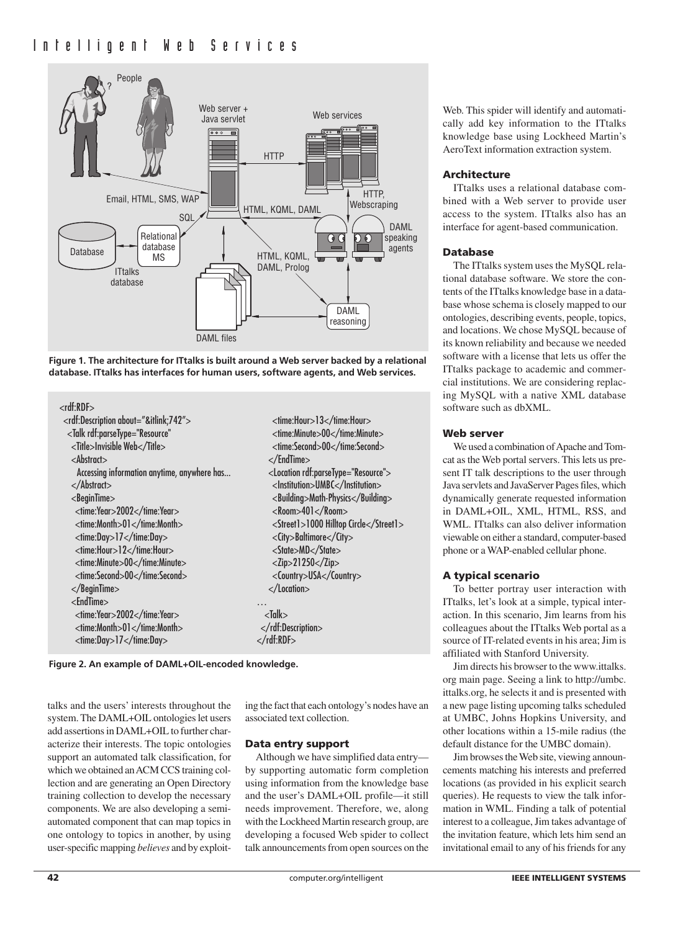

**Figure 1. The architecture for ITtalks is built around a Web server backed by a relational database. ITtalks has interfaces for human users, software agents, and Web services.** 

| $<$ rdf:RDF $>$                                                                         |                                                |
|-----------------------------------------------------------------------------------------|------------------------------------------------|
| <rdf:description about="&amp;itlink;742"></rdf:description>                             | <time:hour>13</time:hour>                      |
| <talk <="" rdf:parsetype="Resource" td=""><td><time:minute>00</time:minute></td></talk> | <time:minute>00</time:minute>                  |
| <title>Invisible Web</title>                                                            | <time:second>00</time:second>                  |
| $&$ Abstract $&$                                                                        |                                                |
| Accessing information anytime, anywhere has                                             | <location rdf:parsetype="Resource"></location> |
| $<$ /Abstract $>$                                                                       | <lnstitution>UMBC</lnstitution>                |
| $<$ BeginTime $>$                                                                       | <building>Math-Physics</building>              |
| <time:year>2002</time:year>                                                             | <room>401</room>                               |
| <time:month>01</time:month>                                                             | <street1>1000 Hilltop Circle</street1>         |
| <time:day>17</time:day>                                                                 | <city>Baltimore</city>                         |
| <time:hour>12</time:hour>                                                               | <state>MD</state>                              |
| <time:minute>00</time:minute>                                                           | $<$ Zip $>$ 21250 $<$ /Zip $>$                 |
| <time:second>00</time:second>                                                           | <country>USA</country>                         |
| $<$ /BeginTime>                                                                         | $\langle$ Location $>$                         |
| $<$ EndTime $>$                                                                         |                                                |
| <time:year>2002</time:year>                                                             | $<$ Talk $>$                                   |
| <time:month>01</time:month>                                                             |                                                |
| <time:day>17</time:day>                                                                 |                                                |
|                                                                                         |                                                |



talks and the users' interests throughout the system. The DAML+OIL ontologies let users add assertions in DAML+OIL to further characterize their interests. The topic ontologies support an automated talk classification, for which we obtained an ACM CCS training collection and are generating an Open Directory training collection to develop the necessary components. We are also developing a semiautomated component that can map topics in one ontology to topics in another, by using user-specific mapping *believes* and by exploit-

ing the fact that each ontology's nodes have an associated text collection.

# **Data entry support**

Although we have simplified data entry by supporting automatic form completion using information from the knowledge base and the user's DAML+OIL profile—it still needs improvement. Therefore, we, along with the Lockheed Martin research group, are developing a focused Web spider to collect talk announcements from open sources on the

Web. This spider will identify and automatically add key information to the ITtalks knowledge base using Lockheed Martin's AeroText information extraction system.

# **Architecture**

ITtalks uses a relational database combined with a Web server to provide user access to the system. ITtalks also has an interface for agent-based communication.

#### **Database**

The ITtalks system uses the MySQL relational database software. We store the contents of the ITtalks knowledge base in a database whose schema is closely mapped to our ontologies, describing events, people, topics, and locations. We chose MySQL because of its known reliability and because we needed software with a license that lets us offer the ITtalks package to academic and commercial institutions. We are considering replacing MySQL with a native XML database software such as dbXML.

# **Web server**

We used a combination of Apache and Tomcat as the Web portal servers. This lets us present IT talk descriptions to the user through Java servlets and JavaServer Pages files, which dynamically generate requested information in DAML+OIL, XML, HTML, RSS, and WML. ITtalks can also deliver information viewable on either a standard, computer-based phone or a WAP-enabled cellular phone.

# **A typical scenario**

To better portray user interaction with ITtalks, let's look at a simple, typical interaction. In this scenario, Jim learns from his colleagues about the ITtalks Web portal as a source of IT-related events in his area; Jim is affiliated with Stanford University.

Jim directs his browser to the www.ittalks. org main page. Seeing a link to http://umbc. ittalks.org, he selects it and is presented with a new page listing upcoming talks scheduled at UMBC, Johns Hopkins University, and other locations within a 15-mile radius (the default distance for the UMBC domain).

Jim browses the Web site, viewing announcements matching his interests and preferred locations (as provided in his explicit search queries). He requests to view the talk information in WML. Finding a talk of potential interest to a colleague, Jim takes advantage of the invitation feature, which lets him send an invitational email to any of his friends for any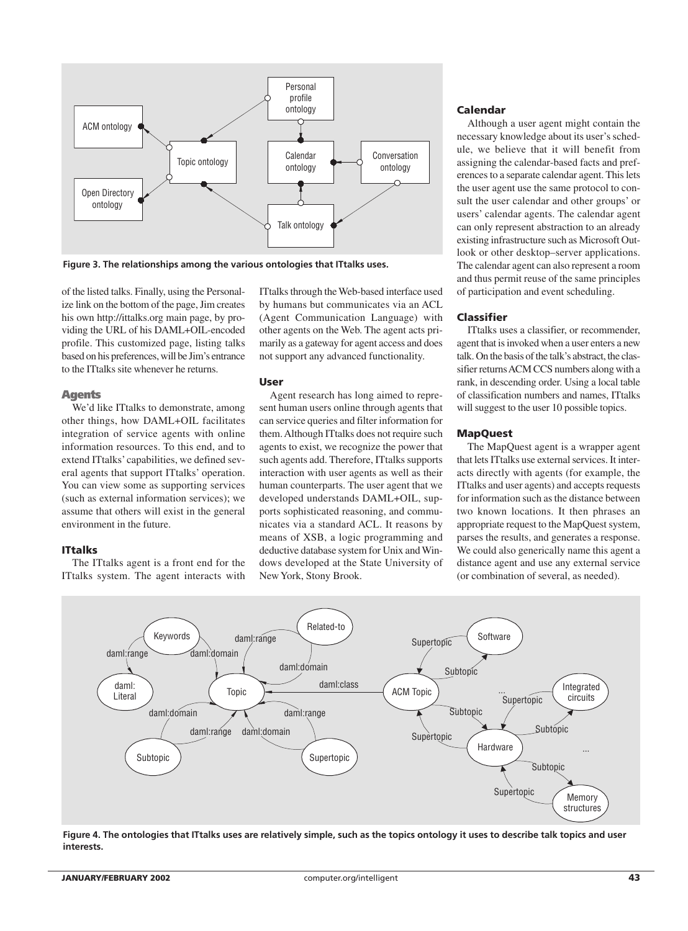

**Figure 3. The relationships among the various ontologies that ITtalks uses.**

of the listed talks. Finally, using the Personalize link on the bottom of the page, Jim creates his own http://ittalks.org main page, by providing the URL of his DAML+OIL-encoded profile. This customized page, listing talks based on his preferences, will be Jim's entrance to the ITtalks site whenever he returns.

#### **Agents**

We'd like ITtalks to demonstrate, among other things, how DAML+OIL facilitates integration of service agents with online information resources. To this end, and to extend ITtalks' capabilities, we defined several agents that support ITtalks' operation. You can view some as supporting services (such as external information services); we assume that others will exist in the general environment in the future.

# **ITtalks**

The ITtalks agent is a front end for the ITtalks system. The agent interacts with ITtalks through the Web-based interface used by humans but communicates via an ACL (Agent Communication Language) with other agents on the Web. The agent acts primarily as a gateway for agent access and does not support any advanced functionality.

## **User**

Agent research has long aimed to represent human users online through agents that can service queries and filter information for them. Although ITtalks does not require such agents to exist, we recognize the power that such agents add. Therefore, ITtalks supports interaction with user agents as well as their human counterparts. The user agent that we developed understands DAML+OIL, supports sophisticated reasoning, and communicates via a standard ACL. It reasons by means of XSB, a logic programming and deductive database system for Unix and Windows developed at the State University of New York, Stony Brook.

# **Calendar**

Although a user agent might contain the necessary knowledge about its user's schedule, we believe that it will benefit from assigning the calendar-based facts and preferences to a separate calendar agent. This lets the user agent use the same protocol to consult the user calendar and other groups' or users' calendar agents. The calendar agent can only represent abstraction to an already existing infrastructure such as Microsoft Outlook or other desktop–server applications. The calendar agent can also represent a room and thus permit reuse of the same principles of participation and event scheduling.

# **Classifier**

ITtalks uses a classifier, or recommender, agent that is invoked when a user enters a new talk. On the basis of the talk's abstract, the classifier returns ACM CCS numbers along with a rank, in descending order. Using a local table of classification numbers and names, ITtalks will suggest to the user 10 possible topics.

# **MapQuest**

The MapQuest agent is a wrapper agent that lets ITtalks use external services. It interacts directly with agents (for example, the ITtalks and user agents) and accepts requests for information such as the distance between two known locations. It then phrases an appropriate request to the MapQuest system, parses the results, and generates a response. We could also generically name this agent a distance agent and use any external service (or combination of several, as needed).



**Figure 4. The ontologies that ITtalks uses are relatively simple, such as the topics ontology it uses to describe talk topics and user interests.**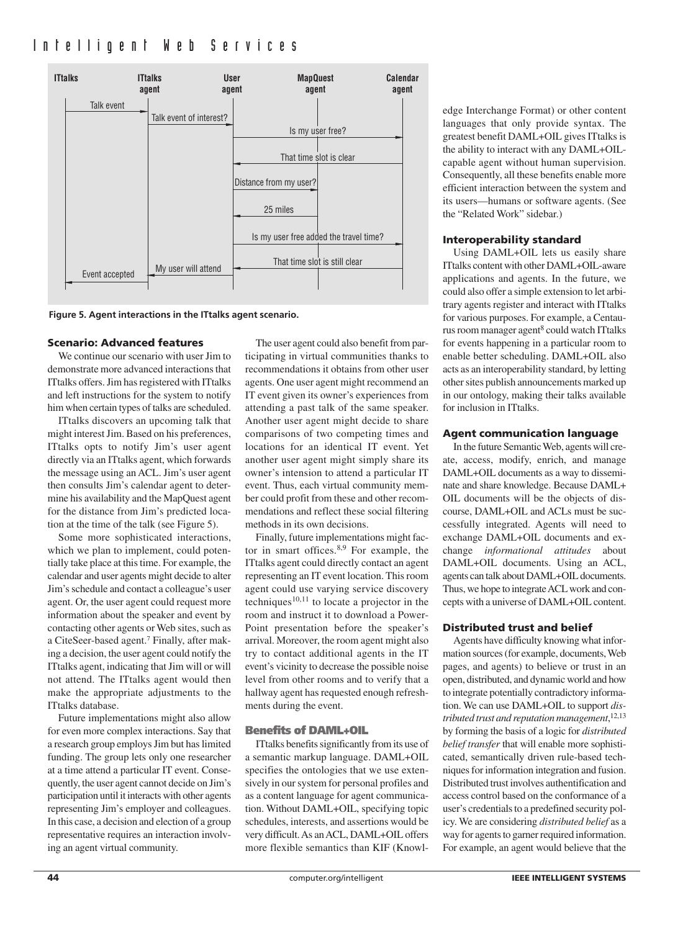

**Figure 5. Agent interactions in the ITtalks agent scenario.**

# **Scenario: Advanced features**

We continue our scenario with user Jim to demonstrate more advanced interactions that ITtalks offers. Jim has registered with ITtalks and left instructions for the system to notify him when certain types of talks are scheduled.

ITtalks discovers an upcoming talk that might interest Jim. Based on his preferences, ITtalks opts to notify Jim's user agent directly via an ITtalks agent, which forwards the message using an ACL. Jim's user agent then consults Jim's calendar agent to determine his availability and the MapQuest agent for the distance from Jim's predicted location at the time of the talk (see Figure 5).

Some more sophisticated interactions, which we plan to implement, could potentially take place at this time. For example, the calendar and user agents might decide to alter Jim's schedule and contact a colleague's user agent. Or, the user agent could request more information about the speaker and event by contacting other agents or Web sites, such as a CiteSeer-based agent.7 Finally, after making a decision, the user agent could notify the ITtalks agent, indicating that Jim will or will not attend. The ITtalks agent would then make the appropriate adjustments to the ITtalks database.

Future implementations might also allow for even more complex interactions. Say that a research group employs Jim but has limited funding. The group lets only one researcher at a time attend a particular IT event. Consequently, the user agent cannot decide on Jim's participation until it interacts with other agents representing Jim's employer and colleagues. In this case, a decision and election of a group representative requires an interaction involving an agent virtual community.

The user agent could also benefit from participating in virtual communities thanks to recommendations it obtains from other user agents. One user agent might recommend an IT event given its owner's experiences from attending a past talk of the same speaker. Another user agent might decide to share comparisons of two competing times and locations for an identical IT event. Yet another user agent might simply share its owner's intension to attend a particular IT event. Thus, each virtual community member could profit from these and other recommendations and reflect these social filtering methods in its own decisions.

Finally, future implementations might factor in smart offices.<sup>8,9</sup> For example, the ITtalks agent could directly contact an agent representing an IT event location. This room agent could use varying service discovery techniques<sup>10,11</sup> to locate a projector in the room and instruct it to download a Power-Point presentation before the speaker's arrival. Moreover, the room agent might also try to contact additional agents in the IT event's vicinity to decrease the possible noise level from other rooms and to verify that a hallway agent has requested enough refreshments during the event.

# **Benefits of DAML+OIL**

ITtalks benefits significantly from its use of a semantic markup language. DAML+OIL specifies the ontologies that we use extensively in our system for personal profiles and as a content language for agent communication. Without DAML+OIL, specifying topic schedules, interests, and assertions would be very difficult. As an ACL, DAML+OIL offers more flexible semantics than KIF (Knowledge Interchange Format) or other content languages that only provide syntax. The greatest benefit DAML+OIL gives ITtalks is the ability to interact with any DAML+OILcapable agent without human supervision. Consequently, all these benefits enable more efficient interaction between the system and its users—humans or software agents. (See the "Related Work" sidebar.)

# **Interoperability standard**

Using DAML+OIL lets us easily share ITtalks content with other DAML+OIL-aware applications and agents. In the future, we could also offer a simple extension to let arbitrary agents register and interact with ITtalks for various purposes. For example, a Centaurus room manager agent<sup>8</sup> could watch ITtalks for events happening in a particular room to enable better scheduling. DAML+OIL also acts as an interoperability standard, by letting other sites publish announcements marked up in our ontology, making their talks available for inclusion in ITtalks.

# **Agent communication language**

In the future Semantic Web, agents will create, access, modify, enrich, and manage DAML+OIL documents as a way to disseminate and share knowledge. Because DAML+ OIL documents will be the objects of discourse, DAML+OIL and ACLs must be successfully integrated. Agents will need to exchange DAML+OIL documents and exchange *informational attitudes* about DAML+OIL documents. Using an ACL, agents can talk about DAML+OIL documents. Thus, we hope to integrate ACL work and concepts with a universe of DAML+OIL content.

# **Distributed trust and belief**

Agents have difficulty knowing what information sources (for example, documents, Web pages, and agents) to believe or trust in an open, distributed, and dynamic world and how to integrate potentially contradictory information. We can use DAML+OIL to support *distributed trust and reputation management*, 12,13 by forming the basis of a logic for *distributed belief transfer* that will enable more sophisticated, semantically driven rule-based techniques for information integration and fusion. Distributed trust involves authentification and access control based on the conformance of a user's credentials to a predefined security policy. We are considering *distributed belief* as a way for agents to garner required information. For example, an agent would believe that the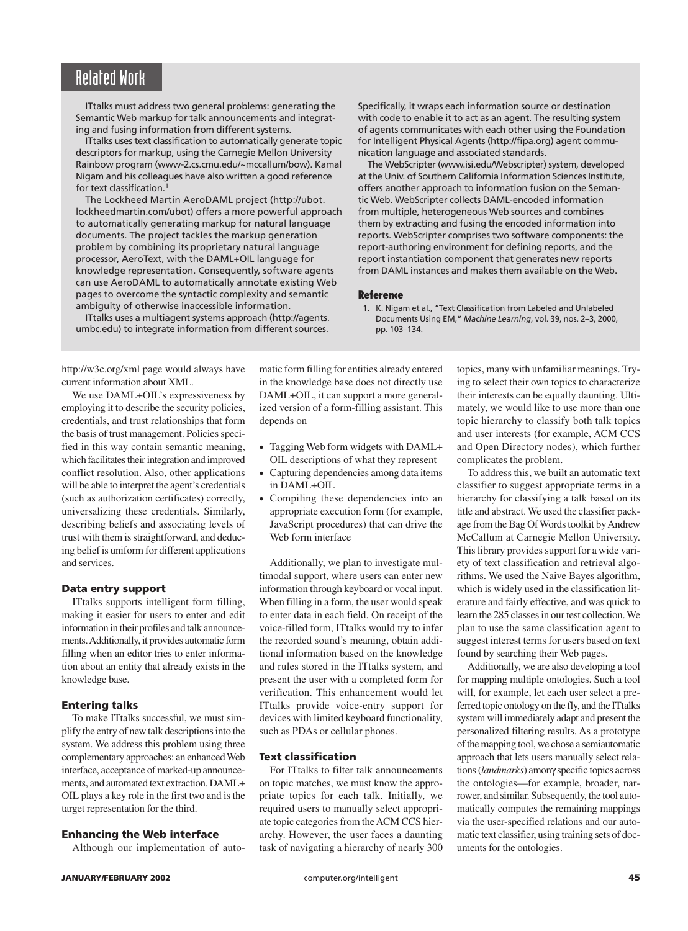# Related Work

ITtalks must address two general problems: generating the Semantic Web markup for talk announcements and integrating and fusing information from different systems.

ITtalks uses text classification to automatically generate topic descriptors for markup, using the Carnegie Mellon University Rainbow program (www-2.cs.cmu.edu/~mccallum/bow). Kamal Nigam and his colleagues have also written a good reference for text classification.<sup>1</sup>

The Lockheed Martin AeroDAML project (http://ubot. lockheedmartin.com/ubot) offers a more powerful approach to automatically generating markup for natural language documents. The project tackles the markup generation problem by combining its proprietary natural language processor, AeroText, with the DAML+OIL language for knowledge representation. Consequently, software agents can use AeroDAML to automatically annotate existing Web pages to overcome the syntactic complexity and semantic ambiguity of otherwise inaccessible information.

ITtalks uses a multiagent systems approach (http://agents. umbc.edu) to integrate information from different sources.

Specifically, it wraps each information source or destination with code to enable it to act as an agent. The resulting system of agents communicates with each other using the Foundation for Intelligent Physical Agents (http://fipa.org) agent communication language and associated standards.

The WebScripter (www.isi.edu/Webscripter) system, developed at the Univ. of Southern California Information Sciences Institute, offers another approach to information fusion on the Semantic Web. WebScripter collects DAML-encoded information from multiple, heterogeneous Web sources and combines them by extracting and fusing the encoded information into reports. WebScripter comprises two software components: the report-authoring environment for defining reports, and the report instantiation component that generates new reports from DAML instances and makes them available on the Web.

#### **Reference**

1. K. Nigam et al., "Text Classification from Labeled and Unlabeled Documents Using EM," *Machine Learning*, vol. 39, nos. 2–3, 2000, pp. 103–134.

http://w3c.org/xml page would always have current information about XML.

We use DAML+OIL's expressiveness by employing it to describe the security policies, credentials, and trust relationships that form the basis of trust management. Policies specified in this way contain semantic meaning, which facilitates their integration and improved conflict resolution. Also, other applications will be able to interpret the agent's credentials (such as authorization certificates) correctly, universalizing these credentials. Similarly, describing beliefs and associating levels of trust with them is straightforward, and deducing belief is uniform for different applications and services.

# **Data entry support**

ITtalks supports intelligent form filling, making it easier for users to enter and edit information in their profiles and talk announcements. Additionally, it provides automatic form filling when an editor tries to enter information about an entity that already exists in the knowledge base.

# **Entering talks**

To make ITtalks successful, we must simplify the entry of new talk descriptions into the system. We address this problem using three complementary approaches: an enhanced Web interface, acceptance of marked-up announcements, and automated text extraction. DAML+ OIL plays a key role in the first two and is the target representation for the third.

# **Enhancing the Web interface**

Although our implementation of auto-

matic form filling for entities already entered in the knowledge base does not directly use DAML+OIL, it can support a more generalized version of a form-filling assistant. This depends on

- Tagging Web form widgets with DAML+ OIL descriptions of what they represent
- Capturing dependencies among data items in DAML+OIL
- Compiling these dependencies into an appropriate execution form (for example, JavaScript procedures) that can drive the Web form interface

Additionally, we plan to investigate multimodal support, where users can enter new information through keyboard or vocal input. When filling in a form, the user would speak to enter data in each field. On receipt of the voice-filled form, ITtalks would try to infer the recorded sound's meaning, obtain additional information based on the knowledge and rules stored in the ITtalks system, and present the user with a completed form for verification. This enhancement would let ITtalks provide voice-entry support for devices with limited keyboard functionality, such as PDAs or cellular phones.

# **Text classification**

For ITtalks to filter talk announcements on topic matches, we must know the appropriate topics for each talk. Initially, we required users to manually select appropriate topic categories from the ACM CCS hierarchy. However, the user faces a daunting task of navigating a hierarchy of nearly 300

topics, many with unfamiliar meanings. Trying to select their own topics to characterize their interests can be equally daunting. Ultimately, we would like to use more than one topic hierarchy to classify both talk topics and user interests (for example, ACM CCS and Open Directory nodes), which further complicates the problem.

To address this, we built an automatic text classifier to suggest appropriate terms in a hierarchy for classifying a talk based on its title and abstract. We used the classifier package from the Bag Of Words toolkit by Andrew McCallum at Carnegie Mellon University. This library provides support for a wide variety of text classification and retrieval algorithms. We used the Naive Bayes algorithm, which is widely used in the classification literature and fairly effective, and was quick to learn the 285 classes in our test collection. We plan to use the same classification agent to suggest interest terms for users based on text found by searching their Web pages.

Additionally, we are also developing a tool for mapping multiple ontologies. Such a tool will, for example, let each user select a preferred topic ontology on the fly, and the ITtalks system will immediately adapt and present the personalized filtering results. As a prototype of the mapping tool, we chose a semiautomatic approach that lets users manually select relations (*landmarks*) amonγ specific topics across the ontologies—for example, broader, narrower, and similar. Subsequently, the tool automatically computes the remaining mappings via the user-specified relations and our automatic text classifier, using training sets of documents for the ontologies.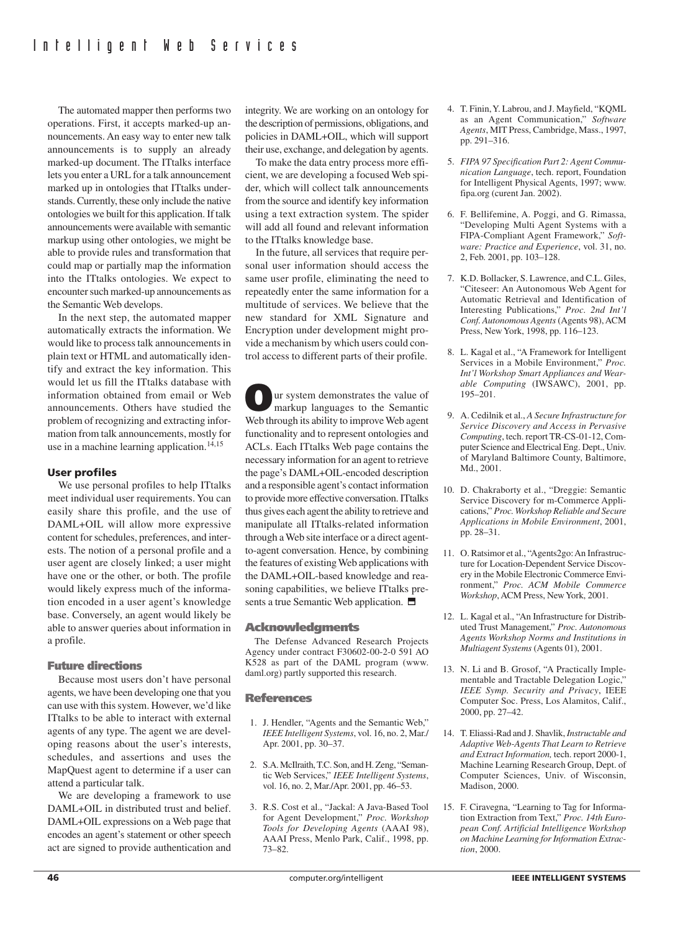The automated mapper then performs two operations. First, it accepts marked-up announcements. An easy way to enter new talk announcements is to supply an already marked-up document. The ITtalks interface lets you enter a URL for a talk announcement marked up in ontologies that ITtalks understands. Currently, these only include the native ontologies we built for this application. If talk announcements were available with semantic markup using other ontologies, we might be able to provide rules and transformation that could map or partially map the information into the ITtalks ontologies. We expect to encounter such marked-up announcements as the Semantic Web develops.

In the next step, the automated mapper automatically extracts the information. We would like to process talk announcements in plain text or HTML and automatically identify and extract the key information. This would let us fill the ITtalks database with information obtained from email or Web announcements. Others have studied the problem of recognizing and extracting information from talk announcements, mostly for use in a machine learning application. $14,15$ 

# **User profiles**

We use personal profiles to help ITtalks meet individual user requirements. You can easily share this profile, and the use of DAML+OIL will allow more expressive content for schedules, preferences, and interests. The notion of a personal profile and a user agent are closely linked; a user might have one or the other, or both. The profile would likely express much of the information encoded in a user agent's knowledge base. Conversely, an agent would likely be able to answer queries about information in a profile.

# **Future directions**

Because most users don't have personal agents, we have been developing one that you can use with this system. However, we'd like ITtalks to be able to interact with external agents of any type. The agent we are developing reasons about the user's interests, schedules, and assertions and uses the MapQuest agent to determine if a user can attend a particular talk.

We are developing a framework to use DAML+OIL in distributed trust and belief. DAML+OIL expressions on a Web page that encodes an agent's statement or other speech act are signed to provide authentication and integrity. We are working on an ontology for the description of permissions, obligations, and policies in DAML+OIL, which will support their use, exchange, and delegation by agents.

To make the data entry process more efficient, we are developing a focused Web spider, which will collect talk announcements from the source and identify key information using a text extraction system. The spider will add all found and relevant information to the ITtalks knowledge base.

In the future, all services that require personal user information should access the same user profile, eliminating the need to repeatedly enter the same information for a multitude of services. We believe that the new standard for XML Signature and Encryption under development might provide a mechanism by which users could control access to different parts of their profile.

**O**ur system demonstrates the value of markup languages to the Semantic Web through its ability to improve Web agent functionality and to represent ontologies and ACLs. Each ITtalks Web page contains the necessary information for an agent to retrieve the page's DAML+OIL-encoded description and a responsible agent's contact information to provide more effective conversation. ITtalks thus gives each agent the ability to retrieve and manipulate all ITtalks-related information through a Web site interface or a direct agentto-agent conversation. Hence, by combining the features of existing Web applications with the DAML+OIL-based knowledge and reasoning capabilities, we believe ITtalks presents a true Semantic Web application.  $\blacksquare$ 

# **Acknowledgments**

The Defense Advanced Research Projects Agency under contract F30602-00-2-0 591 AO K528 as part of the DAML program (www. daml.org) partly supported this research.

# **References**

- 1. J. Hendler, "Agents and the Semantic Web," *IEEE Intelligent Systems*, vol. 16, no. 2, Mar./ Apr. 2001, pp. 30–37.
- 2. S.A. McIlraith, T.C. Son, and H. Zeng, "Semantic Web Services," *IEEE Intelligent Systems*, vol. 16, no. 2, Mar./Apr. 2001, pp. 46–53.
- 3. R.S. Cost et al., "Jackal: A Java-Based Tool for Agent Development," *Proc. Workshop Tools for Developing Agents* (AAAI 98), AAAI Press, Menlo Park, Calif., 1998, pp. 73–82.
- 4. T. Finin,Y. Labrou, and J. Mayfield, "KQML as an Agent Communication," *Software Agents*, MIT Press, Cambridge, Mass., 1997, pp. 291–316.
- 5. *FIPA 97 Specification Part 2: Agent Communication Language*, tech. report, Foundation for Intelligent Physical Agents, 1997; www. fipa.org (curent Jan. 2002).
- 6. F. Bellifemine, A. Poggi, and G. Rimassa, "Developing Multi Agent Systems with a FIPA-Compliant Agent Framework," *Software: Practice and Experience*, vol. 31, no. 2, Feb. 2001, pp. 103–128.
- 7. K.D. Bollacker, S. Lawrence, and C.L. Giles, "Citeseer: An Autonomous Web Agent for Automatic Retrieval and Identification of Interesting Publications," *Proc. 2nd Int'l Conf. Autonomous Agents* (Agents 98), ACM Press, New York, 1998, pp. 116–123.
- 8. L. Kagal et al., "A Framework for Intelligent Services in a Mobile Environment," *Proc. Int'l Workshop Smart Appliances and Wearable Computing* (IWSAWC), 2001, pp. 195–201.
- 9. A. Cedilnik et al., *A Secure Infrastructure for Service Discovery and Access in Pervasive Computing*, tech. report TR-CS-01-12, Computer Science and Electrical Eng. Dept., Univ. of Maryland Baltimore County, Baltimore, Md., 2001.
- 10. D. Chakraborty et al., "Dreggie: Semantic Service Discovery for m-Commerce Applications," *Proc. Workshop Reliable and Secure Applications in Mobile Environment*, 2001, pp. 28–31.
- 11. O. Ratsimor et al., "Agents2go:An Infrastructure for Location-Dependent Service Discovery in the Mobile Electronic Commerce Environment," *Proc. ACM Mobile Commerce Workshop*, ACM Press, New York, 2001.
- 12. L. Kagal et al., "An Infrastructure for Distributed Trust Management," *Proc. Autonomous Agents Workshop Norms and Institutions in Multiagent Systems* (Agents 01), 2001.
- 13. N. Li and B. Grosof, "A Practically Implementable and Tractable Delegation Logic," *IEEE Symp. Security and Privacy*, IEEE Computer Soc. Press, Los Alamitos, Calif., 2000, pp. 27–42.
- 14. T. Eliassi-Rad and J. Shavlik, *Instructable and Adaptive Web-Agents That Learn to Retrieve and Extract Information,* tech. report 2000-1, Machine Learning Research Group, Dept. of Computer Sciences, Univ. of Wisconsin, Madison, 2000.
- 15. F. Ciravegna, "Learning to Tag for Information Extraction from Text," *Proc. 14th European Conf. Artificial Intelligence Workshop on Machine Learning for Information Extraction*, 2000.